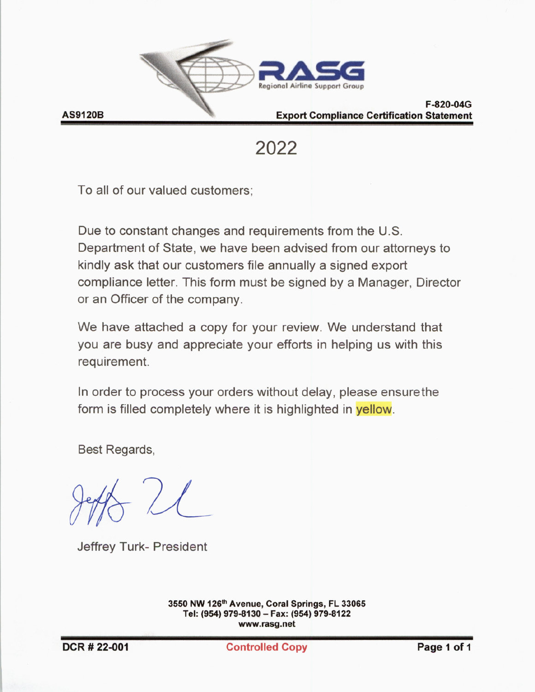

#### F-820-04G **Export Compliance Certification Statement**

2022

To all of our valued customers;

Due to constant changes and requirements from the U.S. Department of State, we have been advised from our attorneys to kindly ask that our customers file annually a signed export compliance letter. This form must be signed by a Manager, Director or an Officer of the company.

We have attached a copy for your review. We understand that you are busy and appreciate your efforts in helping us with this requirement.

In order to process your orders without delay, please ensure the form is filled completely where it is highlighted in **yellow**.

Best Regards,

Jeffrey Turk- President

3550 NW 126th Avenue, Coral Springs, FL 33065 Tel: (954) 979-8130 - Fax: (954) 979-8122 www.rasg.net

**Controlled Copy**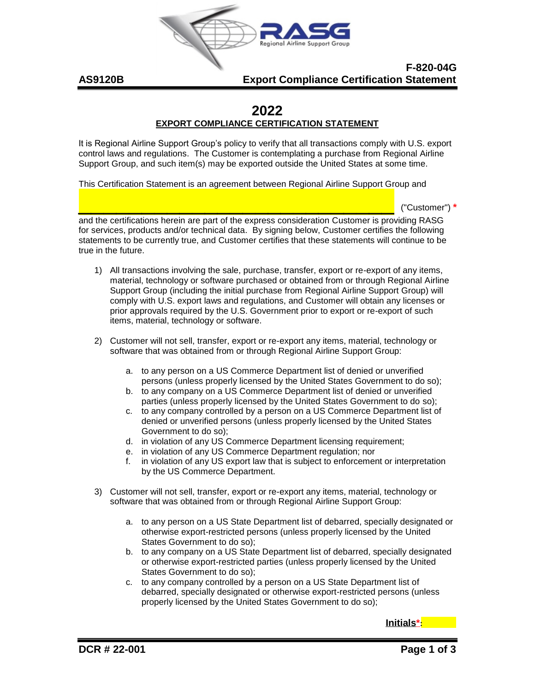

#### **Export Compliance Certification Statement F-820-04G**

# **2022**

## **EXPORT COMPLIANCE CERTIFICATION STATEMENT**

Support Group, and such item(s) may be exported outside the United States at some time. control laws and regulations. The Customer is contemplating a purchase from Regional Airline It is Regional Airline Support Group's policy to verify that all transactions comply with U.S. export

This Certification Statement is an agreement between Regional Airline Support Group and

 $\frac{1}{\sqrt{2}}$  , where  $\frac{1}{\sqrt{2}}$  , where  $\frac{1}{\sqrt{2}}$  , where  $\frac{1}{\sqrt{2}}$  , where  $\frac{1}{\sqrt{2}}$  , where  $\frac{1}{\sqrt{2}}$ 

("Customer") **\***

true in the future. statements to be currently true, and Customer certifies that these statements will continue to be for services, products and/or technical data. By signing below, Customer certifies the following and the certifications herein are part of the express consideration Customer is providing RASG

- items, material, technology or software. prior approvals required by the U.S. Government prior to export or re-export of such comply with U.S. export laws and regulations, and Customer will obtain any licenses or Support Group (including the initial purchase from Regional Airline Support Group) will material, technology or software purchased or obtained from or through Regional Airline 1) All transactions involving the sale, purchase, transfer, export or re-export of any items,
- software that was obtained from or through Regional Airline Support Group: 2) Customer will not sell, transfer, export or re-export any items, material, technology or
	- persons (unless properly licensed by the United States Government to do so); a. to any person on a US Commerce Department list of denied or unverified
	- parties (unless properly licensed by the United States Government to do so); b. to any company on a US Commerce Department list of denied or unverified
	- Government to do so); denied or unverified persons (unless properly licensed by the United States c. to any company controlled by a person on a US Commerce Department list of
	- d. in violation of any US Commerce Department licensing requirement;
	- e. in violation of any US Commerce Department regulation; nor
	- by the US Commerce Department. f. in violation of any US export law that is subject to enforcement or interpretation
- software that was obtained from or through Regional Airline Support Group: 3) Customer will not sell, transfer, export or re-export any items, material, technology or
	- States Government to do so); otherwise export-restricted persons (unless properly licensed by the United a. to any person on a US State Department list of debarred, specially designated or
	- States Government to do so); or otherwise export-restricted parties (unless properly licensed by the United b. to any company on a US State Department list of debarred, specially designated
	- properly licensed by the United States Government to do so); debarred, specially designated or otherwise export-restricted persons (unless c. to any company controlled by a person on a US State Department list of

**Initials\*:**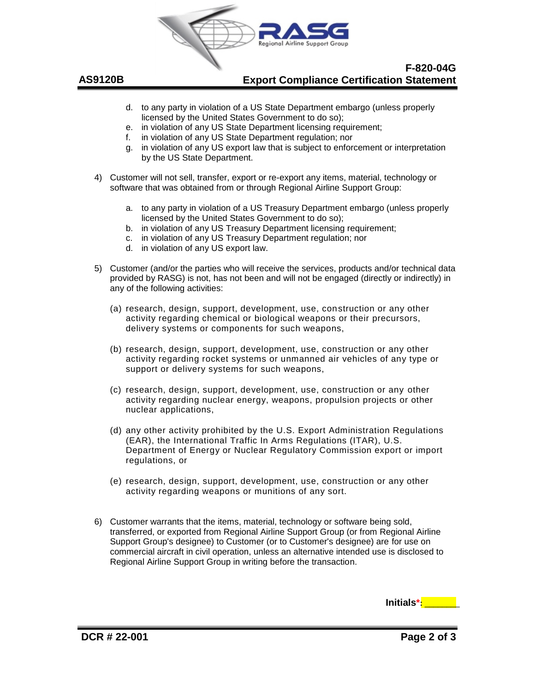

#### **Export Compliance Certification Statement F-820-04G**

- d. to any party in violation of a US State Department embargo (unless properly licensed by the United States Government to do so);
- e. in violation of any US State Department licensing requirement;
- f. in violation of any US State Department regulation; nor
- g. in violation of any US export law that is subject to enforcement or interpretation by the US State Department.
- 4) Customer will not sell, transfer, export or re-export any items, material, technology or software that was obtained from or through Regional Airline Support Group:
	- a. to any party in violation of a US Treasury Department embargo (unless properly licensed by the United States Government to do so);
	- b. in violation of any US Treasury Department licensing requirement;
	- c. in violation of any US Treasury Department regulation; nor
	- d. in violation of any US export law.
- 5) Customer (and/or the parties who will receive the services, products and/or technical data provided by RASG) is not, has not been and will not be engaged (directly or indirectly) in any of the following activities:
	- (a) research, design, support, development, use, construction or any other activity regarding chemical or biological weapons or their precursors, delivery systems or components for such weapons,
	- (b) research, design, support, development, use, construction or any other activity regarding rocket systems or unmanned air vehicles of any type or support or delivery systems for such weapons,
	- (c) research, design, support, development, use, construction or any other activity regarding nuclear energy, weapons, propulsion projects or other nuclear applications,
	- (d) any other activity prohibited by the U.S. Export Administration Regulations (EAR), the International Traffic In Arms Regulations (ITAR), U.S. Department of Energy or Nuclear Regulatory Commission export or import regulations, or
	- (e) research, design, support, development, use, construction or any other activity regarding weapons or munitions of any sort.
- 6) Customer warrants that the items, material, technology or software being sold, transferred, or exported from Regional Airline Support Group (or from Regional Airline Support Group's designee) to Customer (or to Customer's designee) are for use on commercial aircraft in civil operation, unless an alternative intended use is disclosed to Regional Airline Support Group in writing before the transaction.